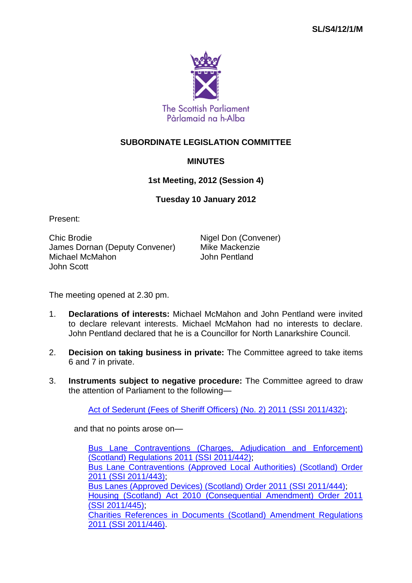

## **SUBORDINATE LEGISLATION COMMITTEE**

## **MINUTES**

## **1st Meeting, 2012 (Session 4)**

## **Tuesday 10 January 2012**

Present:

Chic Brodie **Nigel Don (Convener)** James Dornan (Deputy Convener) Mike Mackenzie<br>Michael McMahon Michael Musham Michael McMahon John Scott

The meeting opened at 2.30 pm.

- 1. **Declarations of interests:** Michael McMahon and John Pentland were invited to declare relevant interests. Michael McMahon had no interests to declare. John Pentland declared that he is a Councillor for North Lanarkshire Council.
- 2. **Decision on taking business in private:** The Committee agreed to take items 6 and 7 in private.
- 3. **Instruments subject to negative procedure:** The Committee agreed to draw the attention of Parliament to the following—

[Act of Sederunt \(Fees of Sheriff Officers\) \(No. 2\) 2011 \(SSI](http://www.legislation.gov.uk/ssi/2011/432/contents/made) 2011/432);

and that no points arose on—

[Bus Lane Contraventions \(Charges, Adjudication and](http://www.legislation.gov.uk/ssi/2011/442/contents/made) Enforcement) [\(Scotland\) Regulations 2011 \(SSI](http://www.legislation.gov.uk/ssi/2011/442/contents/made) 2011/442); [Bus Lane Contraventions \(Approved Local Authorities\) \(Scotland\) Order](http://www.legislation.gov.uk/ssi/2011/443/contents/made)  2011 (SSI [2011/443\);](http://www.legislation.gov.uk/ssi/2011/443/contents/made) [Bus Lanes \(Approved Devices\) \(Scotland\) Order 2011 \(SSI](http://www.legislation.gov.uk/ssi/2011/444/contents/made) 2011/444); [Housing \(Scotland\) Act 2010 \(Consequential Amendment\) Order 2011](http://www.legislation.gov.uk/ssi/2011/445/contents/made)  (SSI [2011/445\);](http://www.legislation.gov.uk/ssi/2011/445/contents/made) [Charities References in Documents \(Scotland\) Amendment Regulations](http://www.legislation.gov.uk/ssi/2011/446/contents/made)  2011 (SSI [2011/446\).](http://www.legislation.gov.uk/ssi/2011/446/contents/made)